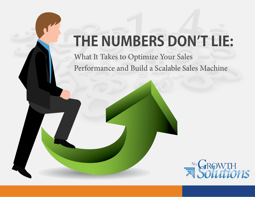# **THE NUMBERS DON'T LIE:**

What It Takes to Optimize Your Sales Performance and Build a Scalable Sales Machine

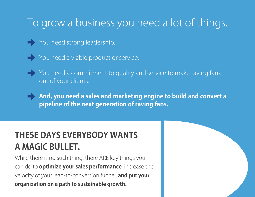## To grow a business you need a lot of things.

You need strong leadership.



You need a viable product or service.



- You need a commitment to quality and service to make raving fans out of your clients.
	- **And, you need a sales and marketing engine to build and convert a pipeline of the next generation of raving fans.**

[www.NuGrowth.com](http://www.nugrowthdigital.com)

### **THESE DAYS EVERYBODY WANTS A MAGIC BULLET.**

While there is no such thing, there ARE key things you can do to **optimize your sales performance**, increase the velocity of your lead-to-conversion funnel, **and put your organization on a path to sustainable growth.**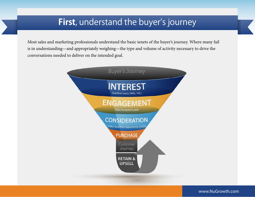#### **First**, understand the buyer's journey

Most sales and marketing professionals understand the basic tenets of the buyer's journey. Where many fail is in understanding—and appropriately weighing—the type and volume of activity necessary to drive the conversations needed to deliver on the intended goal.

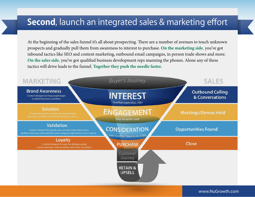#### **Second**, launch an integrated sales & marketing effort

At the beginning of the sales funnel it's all about prospecting. There are a number of avenues to touch unknown prospects and gradually pull them from awareness to interest to purchase. **On the marketing side**, you've got inbound tactics like SEO and content marketing, outbound email campaigns, in person trade shows and more. **On the sales side**, you've got qualified business development reps manning the phones. Alone any of these tactics will drive leads to the funnel. **Together they push the needle faster.**

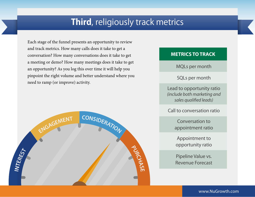### **Third**, religiously track metrics

Each stage of the funnel presents an opportunity to review and track metrics. How many calls does it take to get a conversation? How many conversations does it take to get a meeting or demo? How many meetings does it take to get an opportunity? As you log this over time it will help you pinpoint the right volume and better understand where you need to ramp (or improve) activity.



#### **METRICS TO TRACK**

MQLs per month

SQLs per month

Lead to opportunity ratio *(include both marketing and sales qualified leads)* 

Call to conversation ratio

Conversation to appointment ratio

Appointment to opportunity ratio

Pipeline Value vs. Revenue Forecast

[www.NuGrowth.com](http://www.nugrowthdigital.com)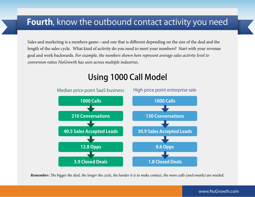#### **Fourth**, know the outbound contact activity you need

Sales and marketing is a numbers game—and one that is different depending on the size of the deal and the length of the sales cycle. What kind of activity do you need to meet your numbers? Start with your revenue goal and work backwards. *For example, the numbers shown here represent average sales activity level to conversion ratios NuGrowth has seen across multiple industries.* 



### Using 1000 Call Model

*Remember: The bigger the deal, the longer the cycle, the harder it is to make contact, the more calls (and emails) are needed.*

#### [www.NuGrowth.com](http://www.nugrowthdigital.com)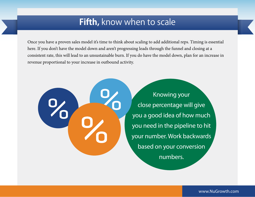#### **Fifth,** know when to scale

Once you have a proven sales model it's time to think about scaling to add additional reps. Timing is essential here. If you don't have the model down and aren't progressing leads through the funnel and closing at a consistent rate, this will lead to an unsustainable burn. If you do have the model down, plan for an increase in revenue proportional to your increase in outbound activity.

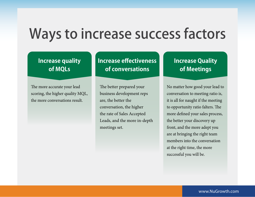## Ways to increase success factors

#### **Increase quality of MQLs**

The more accurate your lead scoring, the higher quality MQL, the more conversations result.

**Increase effectiveness of conversations**

The better prepared your business development reps are, the better the conversation, the higher the rate of Sales Accepted Leads, and the more in-depth meetings set.

#### **Increase Quality of Meetings**

No matter how good your lead to conversation to meeting ratio is, it is all for naught if the meeting to opportunity ratio falters. The more defined your sales process, the better your discovery up front, and the more adept you are at bringing the right team members into the conversation at the right time, the more successful you will be.